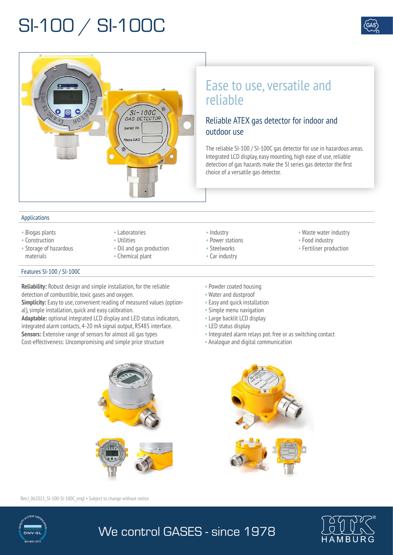## SI-100 / SI-100C



### Ease to use, versatile and reliable

### Reliable ATEX gas detector for indoor and outdoor use

The reliable SI-100 / SI-100C gas detector for use in hazardous areas. Integrated LCD display, easy mounting, high ease of use, reliable detection of gas hazards make the SI series gas detector the first choice of a versatile gas detector.

#### Applications

• Biogas plants • Construction

materials

- Laboratories
- Utilities
	- Oil and gas production

 $S1 - 100C$ GAS DETECTOR

Serial No  $feas.GAS$ 

- Chemical plant
- Industry
- Power stations
- Steelworks
- Car industry
- Waste water industry
- Food industry
- Fertiliser production

#### Features SI-100 / SI-100C

• Storage of hazardous

**Reliability:** Robust design and simple installation, for the reliable detection of combustible, toxic gases and oxygen.

**Simplicity:** Easy to use, convenient reading of measured values (optional), simple installation, quick and easy calibration.

**Adaptable:** optional integrated LCD display and LED status indicators, integrated alarm contacts, 4-20 mA signal output, RS485 interface. **Sensors:** Extensive range of sensors for almost all gas types Cost-effectiveness: Uncompromising and simple price structure

- Powder coated housing
- Water and dustproof
- Easy and quick installation
- Simple menu navigation
- Large backlit LCD display
- LED status display
- Integrated alarm relays pot. free or as switching contact
- Analogue and digital communication



Rev.I\_062021\_SI-100-SI-100C\_engl • Subject to change without notice



We control GASES - since 1978

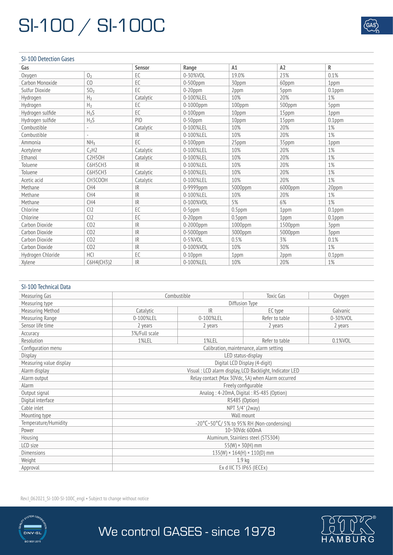## SI-100 / SI-100C

#### SI-100 Detection Gases

| Gas               |                                  | <b>Sensor</b> | Range         | A1        | A2      | R         |
|-------------------|----------------------------------|---------------|---------------|-----------|---------|-----------|
| Oxygen            | 0 <sub>2</sub>                   | EC            | $0 - 30%$ VOL | 19.0%     | 23%     | 0.1%      |
| Carbon Monoxide   | C <sub>0</sub>                   | EC.           | $0-500$ ppm   | 30ppm     | 60ppm   | 1ppm      |
| Sulfur Dioxide    | SO <sub>2</sub>                  | EC.           | $0-20$ ppm    | 2ppm      | 5ppm    | $0.1$ ppm |
| Hydrogen          | H <sub>2</sub>                   | Catalytic     | 0-100%LEL     | 10%       | 20%     | 1%        |
| Hydrogen          | H <sub>2</sub>                   | EC            | 0-1000ppm     | 100ppm    | 500ppm  | 5ppm      |
| Hydrogen sulfide  | $H_2S$                           | EC            | $0-100$ ppm   | 10ppm     | 15ppm   | 1ppm      |
| Hydrogen sulfide  | $H_2S$                           | PID           | $0-50$ ppm    | 10ppm     | 15ppm   | $0.1$ ppm |
| Combustible       | $\overline{\phantom{a}}$         | Catalytic     | 0-100%LEL     | 10%       | 20%     | 1%        |
| Combustible       |                                  | IR            | 0-100%LEL     | 10%       | 20%     | 1%        |
| Ammonia           | NH <sub>3</sub>                  | EC.           | $0-100$ ppm   | 25ppm     | 35ppm   | 1ppm      |
| Acetylene         | C <sub>2</sub> H2                | Catalytic     | 0-100%LEL     | 10%       | 20%     | 1%        |
| Ethanol           | C <sub>2</sub> H <sub>5</sub> OH | Catalytic     | 0-100%LEL     | 10%       | 20%     | 1%        |
| <b>Toluene</b>    | C6H5CH3                          | IR            | 0-100%LEL     | 10%       | 20%     | 1%        |
| Toluene           | C6H5CH3                          | Catalytic     | 0-100%LEL     | 10%       | 20%     | 1%        |
| Acetic acid       | CH3COOH                          | Catalytic     | 0-100%LEL     | 10%       | 20%     | 1%        |
| Methane           | CH4                              | IR            | 0-9999ppm     | 5000ppm   | 6000ppm | 20ppm     |
| Methane           | CH4                              | <b>IR</b>     | 0-100%LEL     | 10%       | 20%     | 1%        |
| Methane           | CH4                              | <b>IR</b>     | 0-100%VOL     | 5%        | 6%      | 1%        |
| Chlorine          | CI2                              | EC            | $0-5$ ppm     | $0.5$ ppm | 1ppm    | $0.1$ ppm |
| Chlorine          | Cl <sub>2</sub>                  | EC            | $0-20$ ppm    | $0.5$ ppm | 1ppm    | $0.1$ ppm |
| Carbon Dioxide    | CO <sub>2</sub>                  | IR            | 0-2000ppm     | 1000ppm   | 1500ppm | 3ppm      |
| Carbon Dioxide    | CO <sub>2</sub>                  | <b>IR</b>     | $0-5000$ ppm  | 3000ppm   | 5000ppm | 3ppm      |
| Carbon Dioxide    | CO <sub>2</sub>                  | <b>IR</b>     | $0 - 5%$ VOL  | 0.5%      | 3%      | 0.1%      |
| Carbon Dioxide    | CO <sub>2</sub>                  | <b>IR</b>     | 0-100%VOL     | 10%       | 30%     | 1%        |
| Hydrogen Chloride | <b>HCI</b>                       | EC            | $0-10$ ppm    | 1ppm      | 2ppm    | $0.1$ ppm |
| Xylene            | C6H4(CH3)2                       | <b>IR</b>     | 0-100%LEL     | 10%       | 20%     | 1%        |

#### SI-100 Technical Data

| Measuring Gas           |                                                                   | Combustible | <b>Toxic Gas</b> | Oxygen   |  |
|-------------------------|-------------------------------------------------------------------|-------------|------------------|----------|--|
| Measuring type          | Diffusion Type                                                    |             |                  |          |  |
| <b>Measuring Method</b> | Catalytic                                                         | IR          | EC type          | Galvanic |  |
| Measuring Range         | 0-100%LEL                                                         | 0-100%LEL   | Refer to table   | 0-30%VOL |  |
| Sensor life time        | 2 years                                                           | 2 years     | 2 years          | 2 years  |  |
| Accuracy                | 3%/Full scale                                                     |             |                  |          |  |
| Resolution              | 1%LEL                                                             | 1%LEL       | Refer to table   | 0.1%VOL  |  |
| Configuration menu      | Calibration, maintenance, alarm setting                           |             |                  |          |  |
| <b>Display</b>          | LED status-display                                                |             |                  |          |  |
| Measuring value display | Digital LCD Display (4-digit)                                     |             |                  |          |  |
| Alarm display           | Visual: LCD alarm display, LCD Backlight, Indicator LED           |             |                  |          |  |
| Alarm output            | Relay contact (Max 30Vdc, 5A) when Alarm occurred                 |             |                  |          |  |
| <b>Alarm</b>            | Freely configurable                                               |             |                  |          |  |
| Output signal           | Analog: 4-20mA, Digital: RS-485 (Option)                          |             |                  |          |  |
| Digital interface       | RS485 (Option)                                                    |             |                  |          |  |
| Cable inlet             | NPT 3/4" (2way)                                                   |             |                  |          |  |
| Mounting type           | Wall mount                                                        |             |                  |          |  |
| Temperature/Humidity    | $-20^{\circ}$ C $-50^{\circ}$ C $/5\%$ to 95% RH (Non-condensing) |             |                  |          |  |
| Power                   | 10~30Vdc 600mA                                                    |             |                  |          |  |
| Housing                 | Aluminum, Stainless steel (STS304)                                |             |                  |          |  |
| LCD size                | $55(W) \times 30(H)$ mm                                           |             |                  |          |  |
| <b>Dimensions</b>       | $135(W) \times 164(H) \times 110(D)$ mm                           |             |                  |          |  |
| Weight                  | 1.9 <sub>kg</sub>                                                 |             |                  |          |  |
| Approval                | Ex d IIC T5 IP65 (IECEx)                                          |             |                  |          |  |

Rev.I\_062021\_SI-100-SI-100C\_engl • Subject to change without notice





We control GASES - since 1978